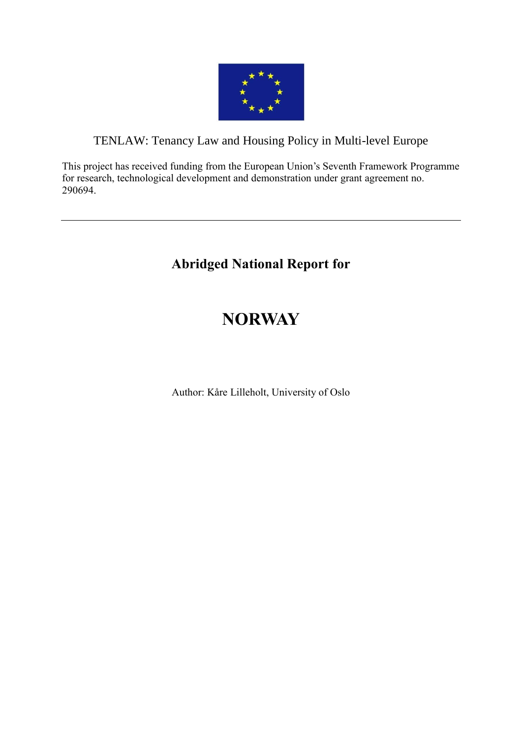

# TENLAW: Tenancy Law and Housing Policy in Multi-level Europe

This project has received funding from the European Union's Seventh Framework Programme for research, technological development and demonstration under grant agreement no. 290694.

# **Abridged National Report for**

# **NORWAY**

Author: Kåre Lilleholt, University of Oslo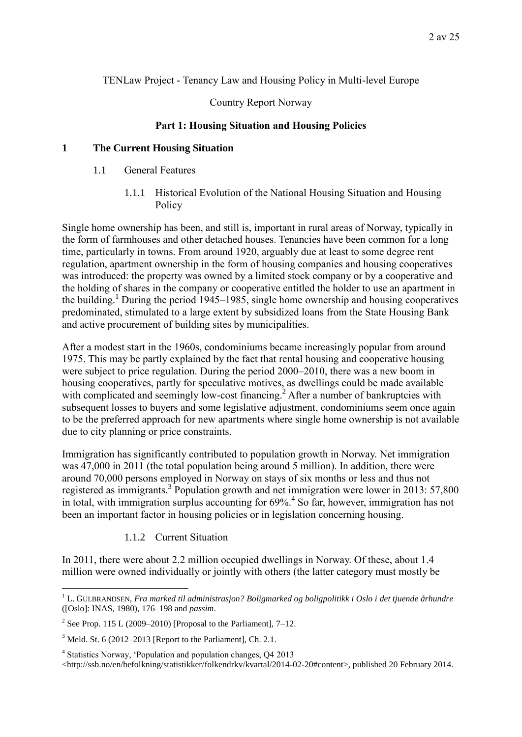### TENLaw Project - Tenancy Law and Housing Policy in Multi-level Europe

### Country Report Norway

### **Part 1: Housing Situation and Housing Policies**

### **1 The Current Housing Situation**

- 1.1 General Features
	- 1.1.1 Historical Evolution of the National Housing Situation and Housing Policy

Single home ownership has been, and still is, important in rural areas of Norway, typically in the form of farmhouses and other detached houses. Tenancies have been common for a long time, particularly in towns. From around 1920, arguably due at least to some degree rent regulation, apartment ownership in the form of housing companies and housing cooperatives was introduced: the property was owned by a limited stock company or by a cooperative and the holding of shares in the company or cooperative entitled the holder to use an apartment in the building.<sup>1</sup> During the period 1945–1985, single home ownership and housing cooperatives predominated, stimulated to a large extent by subsidized loans from the State Housing Bank and active procurement of building sites by municipalities.

After a modest start in the 1960s, condominiums became increasingly popular from around 1975. This may be partly explained by the fact that rental housing and cooperative housing were subject to price regulation. During the period 2000–2010, there was a new boom in housing cooperatives, partly for speculative motives, as dwellings could be made available with complicated and seemingly low-cost financing.<sup>2</sup> After a number of bankruptcies with subsequent losses to buyers and some legislative adjustment, condominiums seem once again to be the preferred approach for new apartments where single home ownership is not available due to city planning or price constraints.

Immigration has significantly contributed to population growth in Norway. Net immigration was 47,000 in 2011 (the total population being around 5 million). In addition, there were around 70,000 persons employed in Norway on stays of six months or less and thus not registered as immigrants.<sup>3</sup> Population growth and net immigration were lower in 2013: 57,800 in total, with immigration surplus accounting for  $69\%$ <sup>4</sup> So far, however, immigration has not been an important factor in housing policies or in legislation concerning housing.

### <span id="page-1-0"></span>1.1.2 Current Situation

In 2011, there were about 2.2 million occupied dwellings in Norway. Of these, about 1.4 million were owned individually or jointly with others (the latter category must mostly be

<sup>&</sup>lt;u>.</u> <sup>1</sup> L. GULBRANDSEN, *Fra marked til administrasjon? Boligmarked og boligpolitikk i Oslo i det tjuende århundre* ([Oslo]: INAS, 1980), 176–198 and *passim*.

<sup>&</sup>lt;sup>2</sup> See Prop. 115 L (2009–2010) [Proposal to the Parliament],  $7-12$ .

 $3$  Meld. St. 6 (2012–2013 [Report to the Parliament], Ch. 2.1.

<sup>4</sup> Statistics Norway, 'Population and population changes, Q4 2013

<sup>&</sup>lt;http://ssb.no/en/befolkning/statistikker/folkendrkv/kvartal/2014-02-20#content>, published 20 February 2014.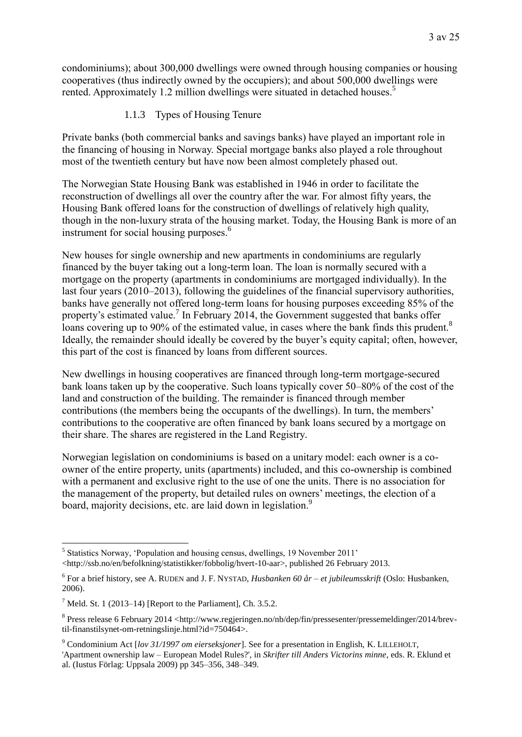condominiums); about 300,000 dwellings were owned through housing companies or housing cooperatives (thus indirectly owned by the occupiers); and about 500,000 dwellings were rented. Approximately 1.2 million dwellings were situated in detached houses.<sup>5</sup>

<span id="page-2-0"></span>1.1.3 Types of Housing Tenure

Private banks (both commercial banks and savings banks) have played an important role in the financing of housing in Norway. Special mortgage banks also played a role throughout most of the twentieth century but have now been almost completely phased out.

The Norwegian State Housing Bank was established in 1946 in order to facilitate the reconstruction of dwellings all over the country after the war. For almost fifty years, the Housing Bank offered loans for the construction of dwellings of relatively high quality, though in the non-luxury strata of the housing market. Today, the Housing Bank is more of an instrument for social housing purposes.<sup>6</sup>

New houses for single ownership and new apartments in condominiums are regularly financed by the buyer taking out a long-term loan. The loan is normally secured with a mortgage on the property (apartments in condominiums are mortgaged individually). In the last four years (2010–2013), following the guidelines of the financial supervisory authorities, banks have generally not offered long-term loans for housing purposes exceeding 85% of the property's estimated value.<sup>7</sup> In February 2014, the Government suggested that banks offer loans covering up to 90% of the estimated value, in cases where the bank finds this prudent.<sup>8</sup> Ideally, the remainder should ideally be covered by the buyer's equity capital; often, however, this part of the cost is financed by loans from different sources.

New dwellings in housing cooperatives are financed through long-term mortgage-secured bank loans taken up by the cooperative. Such loans typically cover 50–80% of the cost of the land and construction of the building. The remainder is financed through member contributions (the members being the occupants of the dwellings). In turn, the members' contributions to the cooperative are often financed by bank loans secured by a mortgage on their share. The shares are registered in the Land Registry.

Norwegian legislation on condominiums is based on a unitary model: each owner is a coowner of the entire property, units (apartments) included, and this co-ownership is combined with a permanent and exclusive right to the use of one the units. There is no association for the management of the property, but detailed rules on owners' meetings, the election of a board, majority decisions, etc. are laid down in legislation.<sup>9</sup>

<sup>1</sup> <sup>5</sup> Statistics Norway, 'Population and housing census, dwellings, 19 November 2011' <http://ssb.no/en/befolkning/statistikker/fobbolig/hvert-10-aar>, published 26 February 2013.

<sup>6</sup> For a brief history, see A. RUDEN and J. F. NYSTAD, *Husbanken 60 år – et jubileumsskrift* (Oslo: Husbanken, 2006).

 $<sup>7</sup>$  Meld. St. 1 (2013–14) [Report to the Parliament], Ch. 3.5.2.</sup>

<sup>&</sup>lt;sup>8</sup> Press release 6 February 2014 <http://www.regjeringen.no/nb/dep/fin/pressesenter/pressemeldinger/2014/brevtil-finanstilsynet-om-retningslinje.html?id=750464>.

<sup>9</sup> Condominium Act [*lov 31/1997 om eierseksjoner*]. See for a presentation in English, K. LILLEHOLT,

<sup>&#</sup>x27;Apartment ownership law – European Model Rules?', in *Skrifter till Anders Victorins minne*, eds. R. Eklund et al. (Iustus Förlag: Uppsala 2009) pp 345–356, 348–349.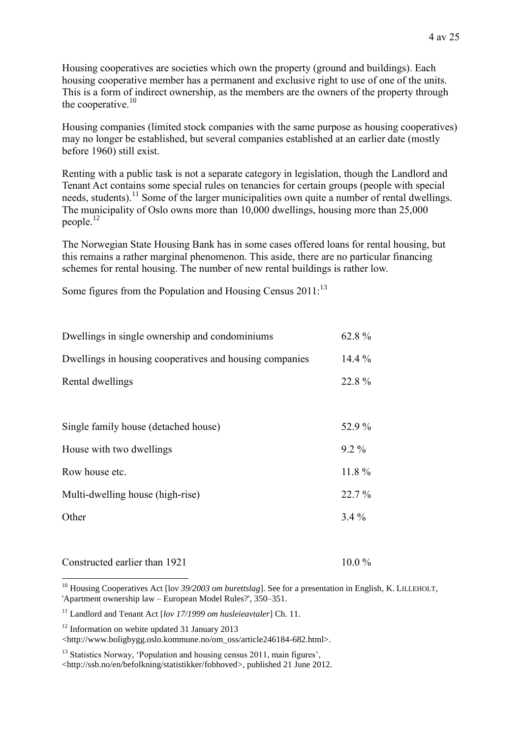Housing cooperatives are societies which own the property (ground and buildings). Each housing cooperative member has a permanent and exclusive right to use of one of the units. This is a form of indirect ownership, as the members are the owners of the property through the cooperative. $10$ 

Housing companies (limited stock companies with the same purpose as housing cooperatives) may no longer be established, but several companies established at an earlier date (mostly before 1960) still exist.

Renting with a public task is not a separate category in legislation, though the Landlord and Tenant Act contains some special rules on tenancies for certain groups (people with special needs, students).<sup>11</sup> Some of the larger municipalities own quite a number of rental dwellings. The municipality of Oslo owns more than 10,000 dwellings, housing more than 25,000 people.<sup>12</sup>

The Norwegian State Housing Bank has in some cases offered loans for rental housing, but this remains a rather marginal phenomenon. This aside, there are no particular financing schemes for rental housing. The number of new rental buildings is rather low.

Some figures from the Population and Housing Census  $2011$ :<sup>13</sup>

| Dwellings in single ownership and condominiums          | 62.8%    |
|---------------------------------------------------------|----------|
| Dwellings in housing cooperatives and housing companies | $14.4\%$ |
| Rental dwellings                                        | 22.8%    |
|                                                         |          |
| Single family house (detached house)                    | 52.9%    |
| House with two dwellings                                | $9.2\%$  |
| Row house etc.                                          | $11.8\%$ |
| Multi-dwelling house (high-rise)                        | $22.7\%$ |
| Other                                                   | $3.4\%$  |
|                                                         |          |

#### Constructed earlier than  $1921$  10.0 %

1 <sup>10</sup> Housing Cooperatives Act [lov 39/2003 om burettslag]. See for a presentation in English, K. LILLEHOLT, 'Apartment ownership law – European Model Rules?', 350–351.

<sup>12</sup> Information on webite updated 31 January 2013

<http://www.boligbygg.oslo.kommune.no/om\_oss/article246184-682.html>.

<sup>13</sup> Statistics Norway, 'Population and housing census 2011, main figures', <http://ssb.no/en/befolkning/statistikker/fobhoved>, published 21 June 2012.

<sup>11</sup> Landlord and Tenant Act [*lov 17/1999 om husleieavtaler*] Ch. 11.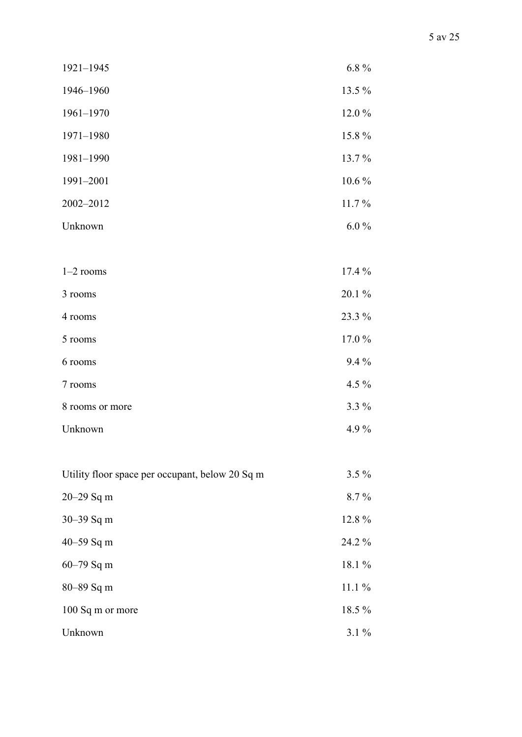| 1921-1945                                       | $6.8\%$  |
|-------------------------------------------------|----------|
| 1946-1960                                       | 13.5 %   |
| $1961 - 1970$                                   | 12.0%    |
| 1971-1980                                       | 15.8%    |
| 1981-1990                                       | 13.7%    |
| 1991-2001                                       | $10.6\%$ |
| 2002-2012                                       | 11.7%    |
| Unknown                                         | $6.0\%$  |
|                                                 |          |
| $1-2$ rooms                                     | 17.4 %   |
| 3 rooms                                         | 20.1 %   |
| 4 rooms                                         | 23.3 %   |
| 5 rooms                                         | 17.0%    |
| 6 rooms                                         | $9.4\%$  |
| 7 rooms                                         | 4.5 $%$  |
| 8 rooms or more                                 | 3.3 %    |
| Unknown                                         | 4.9%     |
|                                                 |          |
| Utility floor space per occupant, below 20 Sq m | $3.5\%$  |
| 20-29 Sq m                                      | 8.7%     |
| 30-39 Sq m                                      | 12.8%    |
| 40-59 Sq m                                      | 24.2 %   |
| 60-79 Sq m                                      | 18.1 %   |
| 80-89 Sq m                                      | $11.1\%$ |
| 100 Sq m or more                                | 18.5 %   |
| Unknown                                         | $3.1\%$  |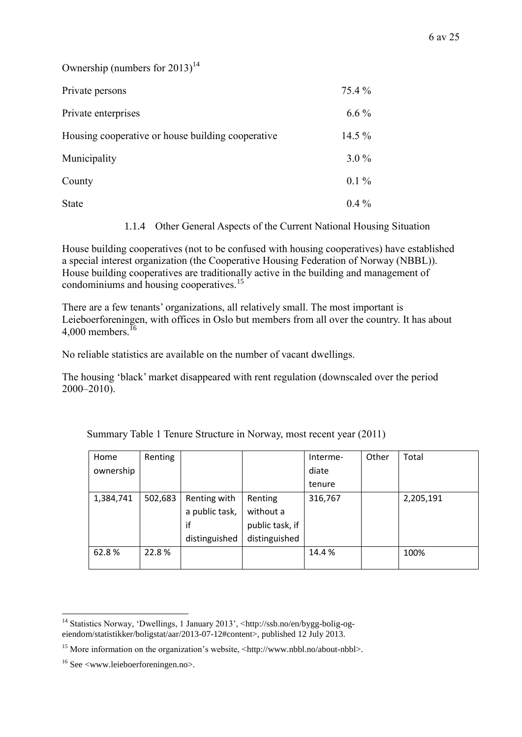Ownership (numbers for  $2013$ )<sup>14</sup>

| Private persons                                   | 75.4 %  |
|---------------------------------------------------|---------|
| Private enterprises                               | $6.6\%$ |
| Housing cooperative or house building cooperative | 14.5 %  |
| Municipality                                      | $3.0\%$ |
| County                                            | $0.1\%$ |
| <b>State</b>                                      | $0.4\%$ |

1.1.4 Other General Aspects of the Current National Housing Situation

House building cooperatives (not to be confused with housing cooperatives) have established a special interest organization (the Cooperative Housing Federation of Norway (NBBL)). House building cooperatives are traditionally active in the building and management of condominiums and housing cooperatives.<sup>15</sup>

There are a few tenants' organizations, all relatively small. The most important is Leieboerforeningen, with offices in Oslo but members from all over the country. It has about 4,000 members  $^{16}$ 

No reliable statistics are available on the number of vacant dwellings.

The housing 'black' market disappeared with rent regulation (downscaled over the period 2000–2010).

| Home      | Renting |                |                 | Interme- | Other | Total     |
|-----------|---------|----------------|-----------------|----------|-------|-----------|
| ownership |         |                |                 | diate    |       |           |
|           |         |                |                 | tenure   |       |           |
| 1,384,741 | 502,683 | Renting with   | Renting         | 316,767  |       | 2,205,191 |
|           |         | a public task, | without a       |          |       |           |
|           |         | if             | public task, if |          |       |           |
|           |         | distinguished  | distinguished   |          |       |           |
| 62.8%     | 22.8%   |                |                 | 14.4%    |       | 100%      |
|           |         |                |                 |          |       |           |

Summary Table 1 Tenure Structure in Norway, most recent year (2011)

<sup>1</sup> <sup>14</sup> Statistics Norway, 'Dwellings, 1 January 2013', <http://ssb.no/en/bygg-bolig-ogeiendom/statistikker/boligstat/aar/2013-07-12#content>, published 12 July 2013.

<sup>&</sup>lt;sup>15</sup> More information on the organization's website, <http://www.nbbl.no/about-nbbl>.

 $16$  See  $\leq$ www.leieboerforeningen.no $\geq$ .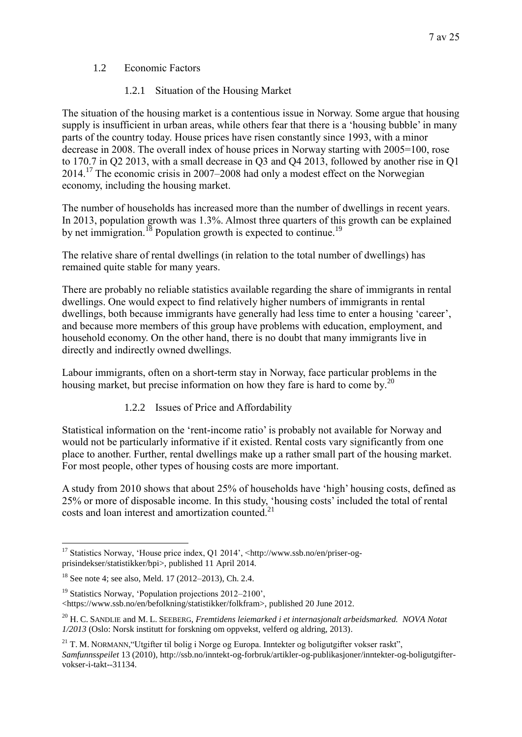### 1.2 Economic Factors

### 1.2.1 Situation of the Housing Market

The situation of the housing market is a contentious issue in Norway. Some argue that housing supply is insufficient in urban areas, while others fear that there is a 'housing bubble' in many parts of the country today. House prices have risen constantly since 1993, with a minor decrease in 2008. The overall index of house prices in Norway starting with 2005=100, rose to 170.7 in Q2 2013, with a small decrease in Q3 and Q4 2013, followed by another rise in Q1 2014. <sup>17</sup> The economic crisis in 2007–2008 had only a modest effect on the Norwegian economy, including the housing market.

The number of households has increased more than the number of dwellings in recent years. In 2013, population growth was 1.3%. Almost three quarters of this growth can be explained by net immigration.<sup>18</sup> Population growth is expected to continue.<sup>19</sup>

The relative share of rental dwellings (in relation to the total number of dwellings) has remained quite stable for many years.

There are probably no reliable statistics available regarding the share of immigrants in rental dwellings. One would expect to find relatively higher numbers of immigrants in rental dwellings, both because immigrants have generally had less time to enter a housing 'career', and because more members of this group have problems with education, employment, and household economy. On the other hand, there is no doubt that many immigrants live in directly and indirectly owned dwellings.

Labour immigrants, often on a short-term stay in Norway, face particular problems in the housing market, but precise information on how they fare is hard to come by.<sup>20</sup>

### 1.2.2 Issues of Price and Affordability

Statistical information on the 'rent-income ratio' is probably not available for Norway and would not be particularly informative if it existed. Rental costs vary significantly from one place to another. Further, rental dwellings make up a rather small part of the housing market. For most people, other types of housing costs are more important.

A study from 2010 shows that about 25% of households have 'high' housing costs, defined as 25% or more of disposable income. In this study, 'housing costs' included the total of rental costs and loan interest and amortization counted.<sup>21</sup>

<sup>1</sup> <sup>17</sup> Statistics Norway, 'House price index, Q1 2014', <http://www.ssb.no/en/priser-ogprisindekser/statistikker/bpi>, published 11 April 2014.

<sup>18</sup> See note [4;](#page-1-0) see also, Meld. 17 (2012–2013), Ch. 2.4.

<sup>&</sup>lt;sup>19</sup> Statistics Norway, 'Population projections  $2012-2100$ '.

<sup>&</sup>lt;https://www.ssb.no/en/befolkning/statistikker/folkfram>, published 20 June 2012.

<sup>20</sup> H. C. SANDLIE and M. L. SEEBERG, *Fremtidens leiemarked i et internasjonalt arbeidsmarked. NOVA Notat 1/2013* (Oslo: Norsk institutt for forskning om oppvekst, velferd og aldring, 2013).

<sup>&</sup>lt;sup>21</sup> T. M. NORMANN, "Utgifter til bolig i Norge og Europa. Inntekter og boligutgifter vokser raskt", *Samfunnsspeilet* 13 (2010), http://ssb.no/inntekt-og-forbruk/artikler-og-publikasjoner/inntekter-og-boligutgiftervokser-i-takt--31134.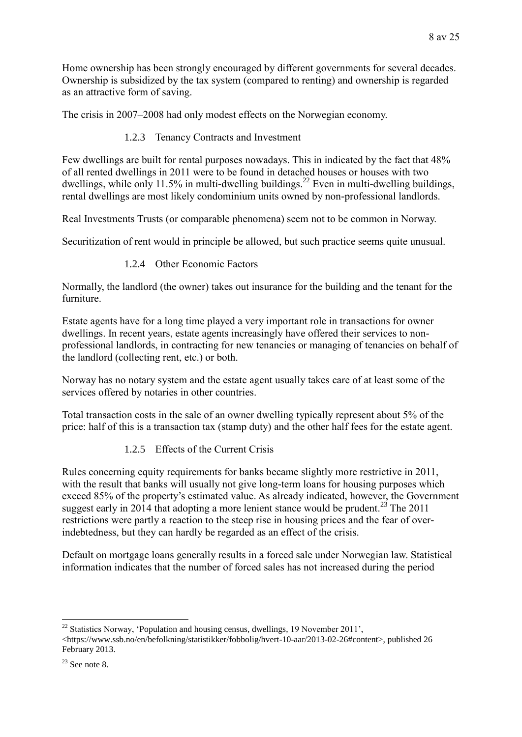Home ownership has been strongly encouraged by different governments for several decades. Ownership is subsidized by the tax system (compared to renting) and ownership is regarded as an attractive form of saving.

The crisis in 2007–2008 had only modest effects on the Norwegian economy.

1.2.3 Tenancy Contracts and Investment

Few dwellings are built for rental purposes nowadays. This in indicated by the fact that 48% of all rented dwellings in 2011 were to be found in detached houses or houses with two dwellings, while only 11.5% in multi-dwelling buildings.<sup>22</sup> Even in multi-dwelling buildings, rental dwellings are most likely condominium units owned by non-professional landlords.

Real Investments Trusts (or comparable phenomena) seem not to be common in Norway.

Securitization of rent would in principle be allowed, but such practice seems quite unusual.

1.2.4 Other Economic Factors

Normally, the landlord (the owner) takes out insurance for the building and the tenant for the furniture.

Estate agents have for a long time played a very important role in transactions for owner dwellings. In recent years, estate agents increasingly have offered their services to nonprofessional landlords, in contracting for new tenancies or managing of tenancies on behalf of the landlord (collecting rent, etc.) or both.

Norway has no notary system and the estate agent usually takes care of at least some of the services offered by notaries in other countries.

Total transaction costs in the sale of an owner dwelling typically represent about 5% of the price: half of this is a transaction tax (stamp duty) and the other half fees for the estate agent.

1.2.5 Effects of the Current Crisis

Rules concerning equity requirements for banks became slightly more restrictive in 2011, with the result that banks will usually not give long-term loans for housing purposes which exceed 85% of the property's estimated value. As already indicated, however, the Government suggest early in 2014 that adopting a more lenient stance would be prudent.<sup>23</sup> The 2011 restrictions were partly a reaction to the steep rise in housing prices and the fear of overindebtedness, but they can hardly be regarded as an effect of the crisis.

Default on mortgage loans generally results in a forced sale under Norwegian law. Statistical information indicates that the number of forced sales has not increased during the period

<sup>1</sup>  $^{22}$  Statistics Norway, 'Population and housing census, dwellings, 19 November 2011', <https://www.ssb.no/en/befolkning/statistikker/fobbolig/hvert-10-aar/2013-02-26#content>, published 26 February 2013.

 $23$  See note [8.](#page-2-0)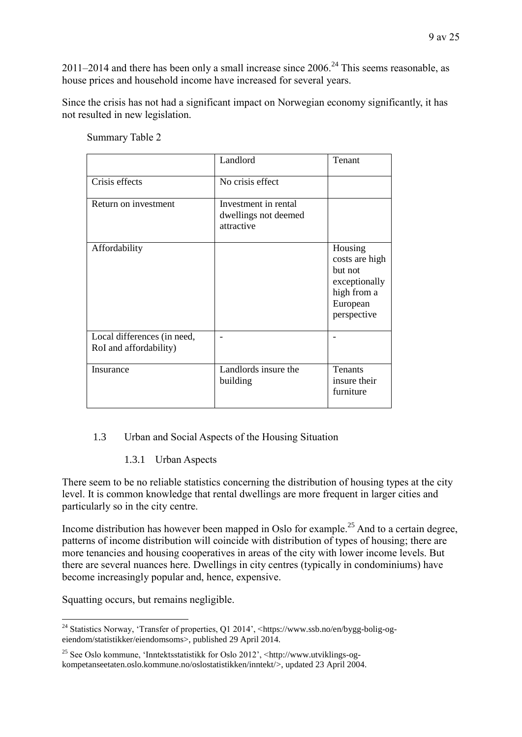2011–2014 and there has been only a small increase since  $2006.<sup>24</sup>$  This seems reasonable, as house prices and household income have increased for several years.

Since the crisis has not had a significant impact on Norwegian economy significantly, it has not resulted in new legislation.

|                                                       | Landlord                                                   | Tenant                                                                                          |
|-------------------------------------------------------|------------------------------------------------------------|-------------------------------------------------------------------------------------------------|
| Crisis effects                                        | No crisis effect                                           |                                                                                                 |
| Return on investment                                  | Investment in rental<br>dwellings not deemed<br>attractive |                                                                                                 |
| Affordability                                         |                                                            | Housing<br>costs are high<br>but not<br>exceptionally<br>high from a<br>European<br>perspective |
| Local differences (in need,<br>RoI and affordability) |                                                            |                                                                                                 |
| Insurance                                             | Landlords insure the<br>building                           | <b>Tenants</b><br>insure their<br>furniture                                                     |

Summary Table 2

### 1.3 Urban and Social Aspects of the Housing Situation

1.3.1 Urban Aspects

There seem to be no reliable statistics concerning the distribution of housing types at the city level. It is common knowledge that rental dwellings are more frequent in larger cities and particularly so in the city centre.

Income distribution has however been mapped in Oslo for example.<sup>25</sup> And to a certain degree, patterns of income distribution will coincide with distribution of types of housing; there are more tenancies and housing cooperatives in areas of the city with lower income levels. But there are several nuances here. Dwellings in city centres (typically in condominiums) have become increasingly popular and, hence, expensive.

Squatting occurs, but remains negligible.

<sup>1</sup> <sup>24</sup> Statistics Norway, 'Transfer of properties, Q1 2014', <https://www.ssb.no/en/bygg-bolig-ogeiendom/statistikker/eiendomsoms>, published 29 April 2014.

<sup>25</sup> See Oslo kommune, 'Inntektsstatistikk for Oslo 2012', <http://www.utviklings-ogkompetanseetaten.oslo.kommune.no/oslostatistikken/inntekt/>, updated 23 April 2004.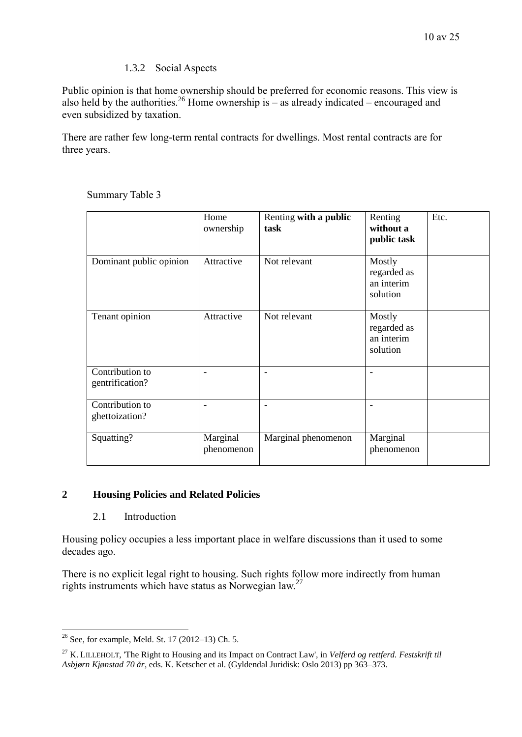### 1.3.2 Social Aspects

Public opinion is that home ownership should be preferred for economic reasons. This view is also held by the authorities.<sup>26</sup> Home ownership is – as already indicated – encouraged and even subsidized by taxation.

There are rather few long-term rental contracts for dwellings. Most rental contracts are for three years.

|                                    | Home<br>ownership      | Renting with a public<br>task | Renting<br>without a<br>public task             | Etc. |
|------------------------------------|------------------------|-------------------------------|-------------------------------------------------|------|
| Dominant public opinion            | Attractive             | Not relevant                  | Mostly<br>regarded as<br>an interim<br>solution |      |
| Tenant opinion                     | Attractive             | Not relevant                  | Mostly<br>regarded as<br>an interim<br>solution |      |
| Contribution to<br>gentrification? | ۰                      | -                             |                                                 |      |
| Contribution to<br>ghettoization?  |                        |                               |                                                 |      |
| Squatting?                         | Marginal<br>phenomenon | Marginal phenomenon           | Marginal<br>phenomenon                          |      |

Summary Table 3

### **2 Housing Policies and Related Policies**

#### 2.1 Introduction

Housing policy occupies a less important place in welfare discussions than it used to some decades ago.

There is no explicit legal right to housing. Such rights follow more indirectly from human rights instruments which have status as Norwegian law.<sup>27</sup>

<sup>1</sup>  $26$  See, for example, Meld. St. 17 (2012–13) Ch. 5.

<sup>27</sup> K. LILLEHOLT, 'The Right to Housing and its Impact on Contract Law', in *Velferd og rettferd. Festskrift til Asbjørn Kjønstad 70 år*, eds. K. Ketscher et al. (Gyldendal Juridisk: Oslo 2013) pp 363–373.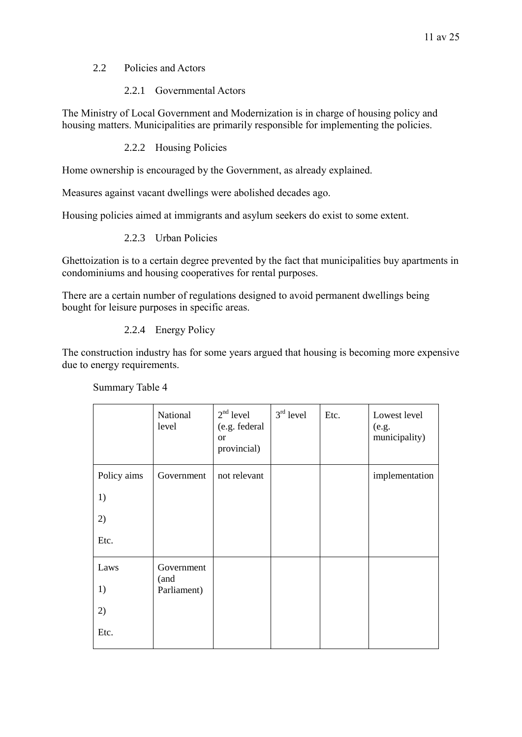### 2.2 Policies and Actors

### 2.2.1 Governmental Actors

The Ministry of Local Government and Modernization is in charge of housing policy and housing matters. Municipalities are primarily responsible for implementing the policies.

### 2.2.2 Housing Policies

Home ownership is encouraged by the Government, as already explained.

Measures against vacant dwellings were abolished decades ago.

Housing policies aimed at immigrants and asylum seekers do exist to some extent.

### 2.2.3 Urban Policies

Ghettoization is to a certain degree prevented by the fact that municipalities buy apartments in condominiums and housing cooperatives for rental purposes.

There are a certain number of regulations designed to avoid permanent dwellings being bought for leisure purposes in specific areas.

### 2.2.4 Energy Policy

The construction industry has for some years argued that housing is becoming more expensive due to energy requirements.

|             | National<br>level  | $2nd$ level<br>(e.g. federal<br><b>or</b><br>provincial) | $3rd$ level | Etc. | Lowest level<br>(e.g.<br>municipality) |
|-------------|--------------------|----------------------------------------------------------|-------------|------|----------------------------------------|
| Policy aims | Government         | not relevant                                             |             |      | implementation                         |
| 1)          |                    |                                                          |             |      |                                        |
| 2)          |                    |                                                          |             |      |                                        |
| Etc.        |                    |                                                          |             |      |                                        |
| Laws        | Government<br>(and |                                                          |             |      |                                        |
| 1)          | Parliament)        |                                                          |             |      |                                        |
| 2)          |                    |                                                          |             |      |                                        |
| Etc.        |                    |                                                          |             |      |                                        |

Summary Table 4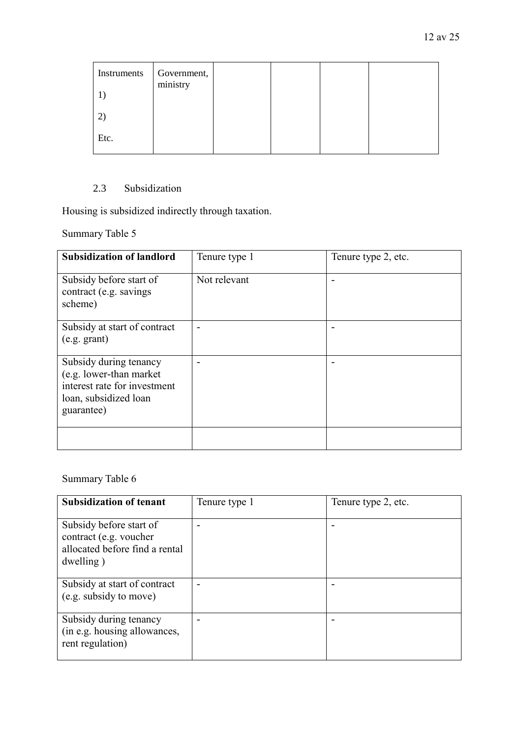| Instruments  | Government,<br>ministry |  |  |
|--------------|-------------------------|--|--|
| $\mathbf{2}$ |                         |  |  |
| Etc.         |                         |  |  |

# 2.3 Subsidization

Housing is subsidized indirectly through taxation.

Summary Table 5

| <b>Subsidization of landlord</b>                                                                                         | Tenure type 1 | Tenure type 2, etc. |
|--------------------------------------------------------------------------------------------------------------------------|---------------|---------------------|
| Subsidy before start of<br>contract (e.g. savings)<br>scheme)                                                            | Not relevant  |                     |
| Subsidy at start of contract<br>(e.g. grant)                                                                             |               |                     |
| Subsidy during tenancy<br>(e.g. lower-than market<br>interest rate for investment<br>loan, subsidized loan<br>guarantee) |               |                     |
|                                                                                                                          |               |                     |

# Summary Table 6

| <b>Subsidization of tenant</b>                                                                   | Tenure type 1 | Tenure type 2, etc. |
|--------------------------------------------------------------------------------------------------|---------------|---------------------|
| Subsidy before start of<br>contract (e.g. voucher<br>allocated before find a rental<br>dwelling) |               |                     |
| Subsidy at start of contract<br>(e.g. subsidy to move)                                           |               |                     |
| Subsidy during tenancy<br>(in e.g. housing allowances,<br>rent regulation)                       |               |                     |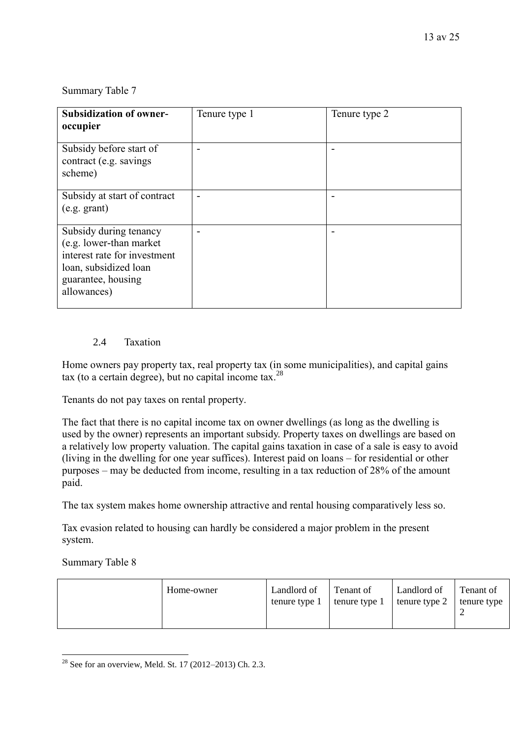### Summary Table 7

| <b>Subsidization of owner-</b><br>occupier                                                                                                       | Tenure type 1 | Tenure type 2 |
|--------------------------------------------------------------------------------------------------------------------------------------------------|---------------|---------------|
| Subsidy before start of<br>contract (e.g. savings)<br>scheme)                                                                                    |               |               |
| Subsidy at start of contract<br>(e.g. grant)                                                                                                     |               |               |
| Subsidy during tenancy<br>(e.g. lower-than market)<br>interest rate for investment<br>loan, subsidized loan<br>guarantee, housing<br>allowances) |               |               |

### 2.4 Taxation

Home owners pay property tax, real property tax (in some municipalities), and capital gains tax (to a certain degree), but no capital income tax.<sup>28</sup>

Tenants do not pay taxes on rental property.

The fact that there is no capital income tax on owner dwellings (as long as the dwelling is used by the owner) represents an important subsidy. Property taxes on dwellings are based on a relatively low property valuation. The capital gains taxation in case of a sale is easy to avoid (living in the dwelling for one year suffices). Interest paid on loans – for residential or other purposes – may be deducted from income, resulting in a tax reduction of 28% of the amount paid.

The tax system makes home ownership attractive and rental housing comparatively less so.

Tax evasion related to housing can hardly be considered a major problem in the present system.

#### Summary Table 8

| Home-owner | Landlord of<br>tenure type 1 | Tenant of<br>tenure type 1 | Landlord of<br>tenure type 2 | Tenant of<br>tenure type |
|------------|------------------------------|----------------------------|------------------------------|--------------------------|
|            |                              |                            |                              |                          |

<sup>1</sup> <sup>28</sup> See for an overview, Meld. St. 17 (2012–2013) Ch. 2.3.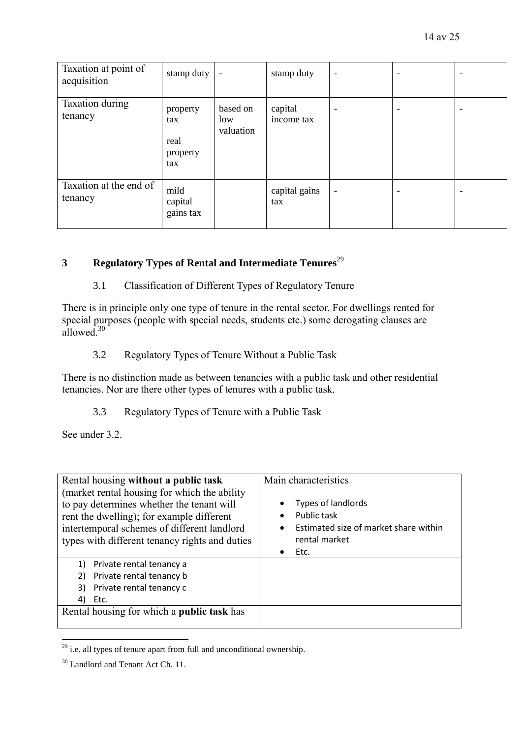| Taxation at point of<br>acquisition | stamp duty                                 | $\overline{\phantom{a}}$     | stamp duty            | $\overline{\phantom{a}}$ |                          |  |
|-------------------------------------|--------------------------------------------|------------------------------|-----------------------|--------------------------|--------------------------|--|
| Taxation during<br>tenancy          | property<br>tax<br>real<br>property<br>tax | based on<br>low<br>valuation | capital<br>income tax | $\overline{\phantom{0}}$ |                          |  |
| Taxation at the end of<br>tenancy   | mild<br>capital<br>gains tax               |                              | capital gains<br>tax  | $\overline{\phantom{a}}$ | $\overline{\phantom{a}}$ |  |

# **3 Regulatory Types of Rental and Intermediate Tenures**<sup>29</sup>

### 3.1 Classification of Different Types of Regulatory Tenure

There is in principle only one type of tenure in the rental sector. For dwellings rented for special purposes (people with special needs, students etc.) some derogating clauses are allowed<sup>30</sup>

### 3.2 Regulatory Types of Tenure Without a Public Task

There is no distinction made as between tenancies with a public task and other residential tenancies. Nor are there other types of tenures with a public task.

### 3.3 Regulatory Types of Tenure with a Public Task

See under 3.2.

| Rental housing without a public task                                                                                                                                                                                                     | Main characteristics                                                                                                          |  |
|------------------------------------------------------------------------------------------------------------------------------------------------------------------------------------------------------------------------------------------|-------------------------------------------------------------------------------------------------------------------------------|--|
| (market rental housing for which the ability)<br>to pay determines whether the tenant will<br>rent the dwelling); for example different<br>intertemporal schemes of different landlord<br>types with different tenancy rights and duties | Types of landlords<br>Public task<br>$\bullet$<br>Estimated size of market share within<br>$\bullet$<br>rental market<br>Etc. |  |
| Private rental tenancy a<br>1)<br>Private rental tenancy b<br>Private rental tenancy c<br>3)<br>Etc.<br>4)                                                                                                                               |                                                                                                                               |  |
| Rental housing for which a public task has                                                                                                                                                                                               |                                                                                                                               |  |

 $29$  i.e. all types of tenure apart from full and unconditional ownership.

<u>.</u>

<sup>&</sup>lt;sup>30</sup> Landlord and Tenant Act Ch. 11.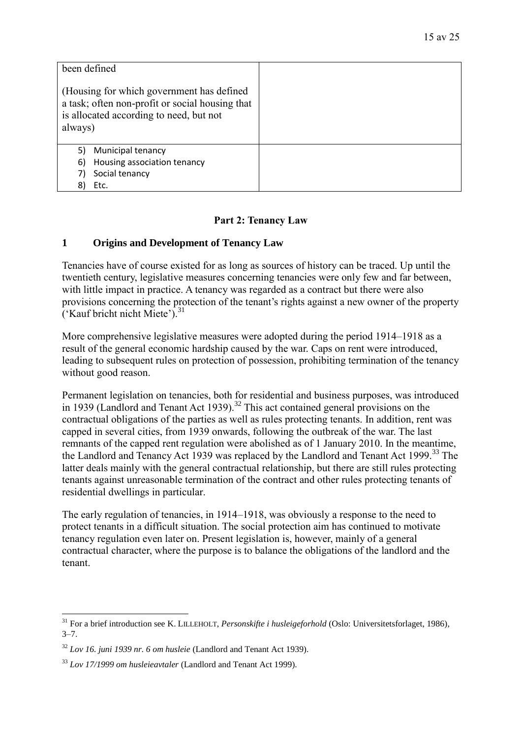| been defined<br>(Housing for which government has defined<br>a task; often non-profit or social housing that<br>is allocated according to need, but not<br>always) |  |
|--------------------------------------------------------------------------------------------------------------------------------------------------------------------|--|
| Municipal tenancy<br>5)                                                                                                                                            |  |
| Housing association tenancy<br>6)                                                                                                                                  |  |
| Social tenancy<br>7)                                                                                                                                               |  |
| 8)<br>Etc.                                                                                                                                                         |  |

### **Part 2: Tenancy Law**

### **1 Origins and Development of Tenancy Law**

Tenancies have of course existed for as long as sources of history can be traced. Up until the twentieth century, legislative measures concerning tenancies were only few and far between, with little impact in practice. A tenancy was regarded as a contract but there were also provisions concerning the protection of the tenant's rights against a new owner of the property ('Kauf bricht nicht Miete'). $31$ 

More comprehensive legislative measures were adopted during the period 1914–1918 as a result of the general economic hardship caused by the war. Caps on rent were introduced, leading to subsequent rules on protection of possession, prohibiting termination of the tenancy without good reason.

Permanent legislation on tenancies, both for residential and business purposes, was introduced in 1939 (Landlord and Tenant Act 1939).<sup>32</sup> This act contained general provisions on the contractual obligations of the parties as well as rules protecting tenants. In addition, rent was capped in several cities, from 1939 onwards, following the outbreak of the war. The last remnants of the capped rent regulation were abolished as of 1 January 2010. In the meantime, the Landlord and Tenancy Act 1939 was replaced by the Landlord and Tenant Act 1999.<sup>33</sup> The latter deals mainly with the general contractual relationship, but there are still rules protecting tenants against unreasonable termination of the contract and other rules protecting tenants of residential dwellings in particular.

The early regulation of tenancies, in 1914–1918, was obviously a response to the need to protect tenants in a difficult situation. The social protection aim has continued to motivate tenancy regulation even later on. Present legislation is, however, mainly of a general contractual character, where the purpose is to balance the obligations of the landlord and the tenant.

1

<sup>&</sup>lt;sup>31</sup> For a brief introduction see K. LILLEHOLT, *Personskifte i husleigeforhold* (Oslo: Universitetsforlaget, 1986),  $3 - 7$ .

<sup>32</sup> *Lov 16. juni 1939 nr. 6 om husleie* (Landlord and Tenant Act 1939).

<sup>33</sup> *Lov 17/1999 om husleieavtaler* (Landlord and Tenant Act 1999).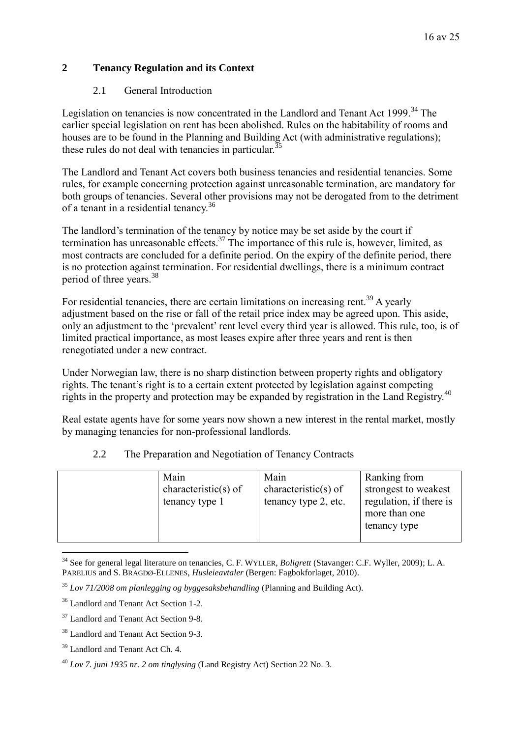# **2 Tenancy Regulation and its Context**

### 2.1 General Introduction

Legislation on tenancies is now concentrated in the Landlord and Tenant Act 1999.<sup>34</sup> The earlier special legislation on rent has been abolished. Rules on the habitability of rooms and houses are to be found in the Planning and Building Act (with administrative regulations); these rules do not deal with tenancies in particular.<sup>35</sup>

The Landlord and Tenant Act covers both business tenancies and residential tenancies. Some rules, for example concerning protection against unreasonable termination, are mandatory for both groups of tenancies. Several other provisions may not be derogated from to the detriment of a tenant in a residential tenancy.<sup>36</sup>

The landlord's termination of the tenancy by notice may be set aside by the court if termination has unreasonable effects.<sup>37</sup> The importance of this rule is, however, limited, as most contracts are concluded for a definite period. On the expiry of the definite period, there is no protection against termination. For residential dwellings, there is a minimum contract period of three years.<sup>38</sup>

For residential tenancies, there are certain limitations on increasing rent.<sup>39</sup> A yearly adjustment based on the rise or fall of the retail price index may be agreed upon. This aside, only an adjustment to the 'prevalent' rent level every third year is allowed. This rule, too, is of limited practical importance, as most leases expire after three years and rent is then renegotiated under a new contract.

Under Norwegian law, there is no sharp distinction between property rights and obligatory rights. The tenant's right is to a certain extent protected by legislation against competing rights in the property and protection may be expanded by registration in the Land Registry.<sup>40</sup>

Real estate agents have for some years now shown a new interest in the rental market, mostly by managing tenancies for non-professional landlords.

| tenancy type 2, etc.<br>tenancy type 1<br>more than one<br>tenancy type |  | Main<br>characteristic(s) of | Main<br>characteristic(s) of | Ranking from<br>strongest to weakest<br>regulation, if there is |
|-------------------------------------------------------------------------|--|------------------------------|------------------------------|-----------------------------------------------------------------|
|-------------------------------------------------------------------------|--|------------------------------|------------------------------|-----------------------------------------------------------------|

# 2.2 The Preparation and Negotiation of Tenancy Contracts

<u>.</u>

<sup>34</sup> See for general legal literature on tenancies, C. F. WYLLER, *Boligrett* (Stavanger: C.F. Wyller, 2009); L. A. PARELIUS and S. BRAGDØ-ELLENES, *Husleieavtaler* (Bergen: Fagbokforlaget, 2010).

<sup>35</sup> *Lov 71/2008 om planlegging og byggesaksbehandling* (Planning and Building Act).

<sup>36</sup> Landlord and Tenant Act Section 1-2.

<sup>&</sup>lt;sup>37</sup> Landlord and Tenant Act Section 9-8.

<sup>38</sup> Landlord and Tenant Act Section 9-3.

<sup>39</sup> Landlord and Tenant Act Ch. 4.

<sup>40</sup> *Lov 7. juni 1935 nr. 2 om tinglysing* (Land Registry Act) Section 22 No. 3.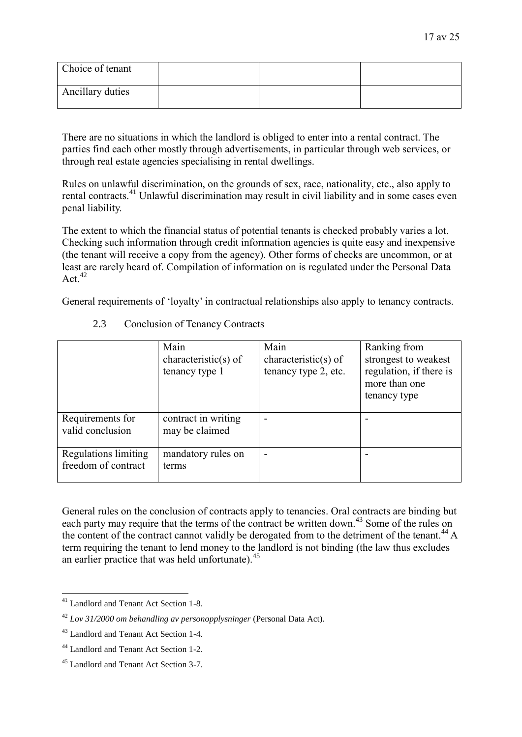| Choice of tenant |  |  |
|------------------|--|--|
| Ancillary duties |  |  |

There are no situations in which the landlord is obliged to enter into a rental contract. The parties find each other mostly through advertisements, in particular through web services, or through real estate agencies specialising in rental dwellings.

Rules on unlawful discrimination, on the grounds of sex, race, nationality, etc., also apply to rental contracts.<sup>41</sup> Unlawful discrimination may result in civil liability and in some cases even penal liability.

The extent to which the financial status of potential tenants is checked probably varies a lot. Checking such information through credit information agencies is quite easy and inexpensive (the tenant will receive a copy from the agency). Other forms of checks are uncommon, or at least are rarely heard of. Compilation of information on is regulated under the Personal Data Act<sup>42</sup>

General requirements of 'loyalty' in contractual relationships also apply to tenancy contracts.

|                                                    | Main<br>characteristic(s) of<br>tenancy type 1 | Main<br>characteristic(s) of<br>tenancy type 2, etc. | Ranking from<br>strongest to weakest<br>regulation, if there is<br>more than one<br>tenancy type |
|----------------------------------------------------|------------------------------------------------|------------------------------------------------------|--------------------------------------------------------------------------------------------------|
| Requirements for<br>valid conclusion               | contract in writing<br>may be claimed          | $\overline{\phantom{0}}$                             |                                                                                                  |
| <b>Regulations limiting</b><br>freedom of contract | mandatory rules on<br>terms                    | $\overline{\phantom{0}}$                             |                                                                                                  |

2.3 Conclusion of Tenancy Contracts

General rules on the conclusion of contracts apply to tenancies. Oral contracts are binding but each party may require that the terms of the contract be written down.<sup>43</sup> Some of the rules on the content of the contract cannot validly be derogated from to the detriment of the tenant.<sup>44</sup> A term requiring the tenant to lend money to the landlord is not binding (the law thus excludes an earlier practice that was held unfortunate).<sup>45</sup>

<sup>1</sup> <sup>41</sup> Landlord and Tenant Act Section 1-8.

<sup>42</sup> *Lov 31/2000 om behandling av personopplysninger* (Personal Data Act).

<sup>43</sup> Landlord and Tenant Act Section 1-4.

<sup>44</sup> Landlord and Tenant Act Section 1-2.

<sup>45</sup> Landlord and Tenant Act Section 3-7.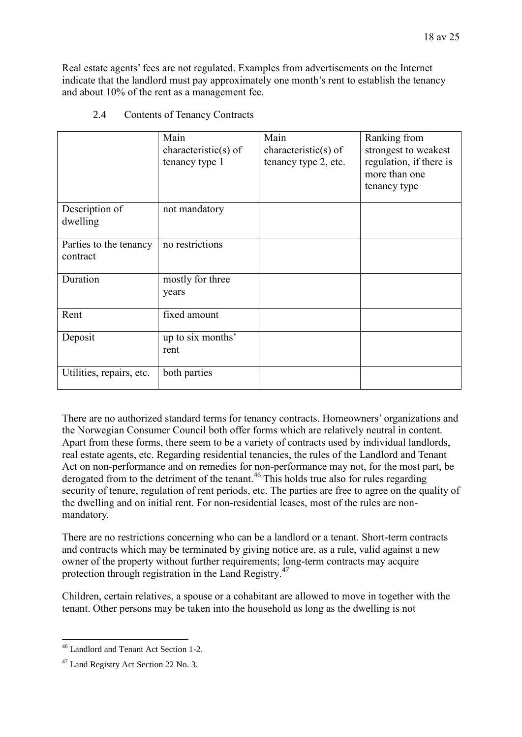Real estate agents' fees are not regulated. Examples from advertisements on the Internet indicate that the landlord must pay approximately one month's rent to establish the tenancy and about 10% of the rent as a management fee.

|                                    | Main<br>characteristic(s) of<br>tenancy type 1 | Main<br>$characteristic(s)$ of<br>tenancy type 2, etc. | Ranking from<br>strongest to weakest<br>regulation, if there is<br>more than one<br>tenancy type |
|------------------------------------|------------------------------------------------|--------------------------------------------------------|--------------------------------------------------------------------------------------------------|
| Description of<br>dwelling         | not mandatory                                  |                                                        |                                                                                                  |
| Parties to the tenancy<br>contract | no restrictions                                |                                                        |                                                                                                  |
| Duration                           | mostly for three<br>years                      |                                                        |                                                                                                  |
| Rent                               | fixed amount                                   |                                                        |                                                                                                  |
| Deposit                            | up to six months'<br>rent                      |                                                        |                                                                                                  |
| Utilities, repairs, etc.           | both parties                                   |                                                        |                                                                                                  |

2.4 Contents of Tenancy Contracts

There are no authorized standard terms for tenancy contracts. Homeowners' organizations and the Norwegian Consumer Council both offer forms which are relatively neutral in content. Apart from these forms, there seem to be a variety of contracts used by individual landlords, real estate agents, etc. Regarding residential tenancies, the rules of the Landlord and Tenant Act on non-performance and on remedies for non-performance may not, for the most part, be derogated from to the detriment of the tenant.<sup>46</sup> This holds true also for rules regarding security of tenure, regulation of rent periods, etc. The parties are free to agree on the quality of the dwelling and on initial rent. For non-residential leases, most of the rules are nonmandatory.

There are no restrictions concerning who can be a landlord or a tenant. Short-term contracts and contracts which may be terminated by giving notice are, as a rule, valid against a new owner of the property without further requirements; long-term contracts may acquire protection through registration in the Land Registry.<sup>47</sup>

Children, certain relatives, a spouse or a cohabitant are allowed to move in together with the tenant. Other persons may be taken into the household as long as the dwelling is not

<sup>&</sup>lt;u>.</u> <sup>46</sup> Landlord and Tenant Act Section 1-2.

<sup>&</sup>lt;sup>47</sup> Land Registry Act Section 22 No. 3.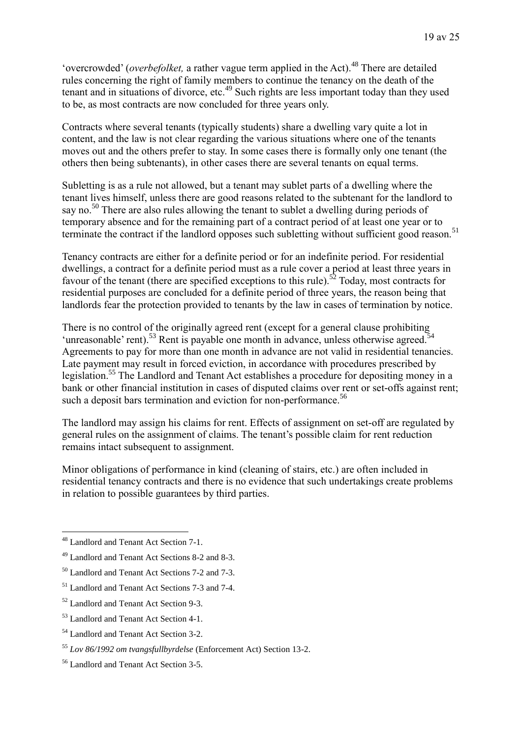'overcrowded' (*overbefolket*, a rather vague term applied in the Act).<sup>48</sup> There are detailed rules concerning the right of family members to continue the tenancy on the death of the tenant and in situations of divorce, etc.<sup>49</sup> Such rights are less important today than they used to be, as most contracts are now concluded for three years only.

Contracts where several tenants (typically students) share a dwelling vary quite a lot in content, and the law is not clear regarding the various situations where one of the tenants moves out and the others prefer to stay. In some cases there is formally only one tenant (the others then being subtenants), in other cases there are several tenants on equal terms.

Subletting is as a rule not allowed, but a tenant may sublet parts of a dwelling where the tenant lives himself, unless there are good reasons related to the subtenant for the landlord to say no.<sup>50</sup> There are also rules allowing the tenant to sublet a dwelling during periods of temporary absence and for the remaining part of a contract period of at least one year or to terminate the contract if the landlord opposes such subletting without sufficient good reason.<sup>51</sup>

Tenancy contracts are either for a definite period or for an indefinite period. For residential dwellings, a contract for a definite period must as a rule cover a period at least three years in favour of the tenant (there are specified exceptions to this rule).<sup>52</sup> Today, most contracts for residential purposes are concluded for a definite period of three years, the reason being that landlords fear the protection provided to tenants by the law in cases of termination by notice.

There is no control of the originally agreed rent (except for a general clause prohibiting 'unreasonable' rent).<sup>53</sup> Rent is payable one month in advance, unless otherwise agreed.<sup>54</sup> Agreements to pay for more than one month in advance are not valid in residential tenancies. Late payment may result in forced eviction, in accordance with procedures prescribed by legislation.<sup>55</sup> The Landlord and Tenant Act establishes a procedure for depositing money in a bank or other financial institution in cases of disputed claims over rent or set-offs against rent; such a deposit bars termination and eviction for non-performance.<sup>56</sup>

The landlord may assign his claims for rent. Effects of assignment on set-off are regulated by general rules on the assignment of claims. The tenant's possible claim for rent reduction remains intact subsequent to assignment.

Minor obligations of performance in kind (cleaning of stairs, etc.) are often included in residential tenancy contracts and there is no evidence that such undertakings create problems in relation to possible guarantees by third parties.

<u>.</u>

<sup>&</sup>lt;sup>48</sup> Landlord and Tenant Act Section 7-1.

<sup>49</sup> Landlord and Tenant Act Sections 8-2 and 8-3.

 $50$  Landlord and Tenant Act Sections 7-2 and 7-3.

<sup>51</sup> Landlord and Tenant Act Sections 7-3 and 7-4.

<sup>52</sup> Landlord and Tenant Act Section 9-3.

<sup>53</sup> Landlord and Tenant Act Section 4-1.

<sup>54</sup> Landlord and Tenant Act Section 3-2.

<sup>55</sup> *Lov 86/1992 om tvangsfullbyrdelse* (Enforcement Act) Section 13-2.

<sup>56</sup> Landlord and Tenant Act Section 3-5.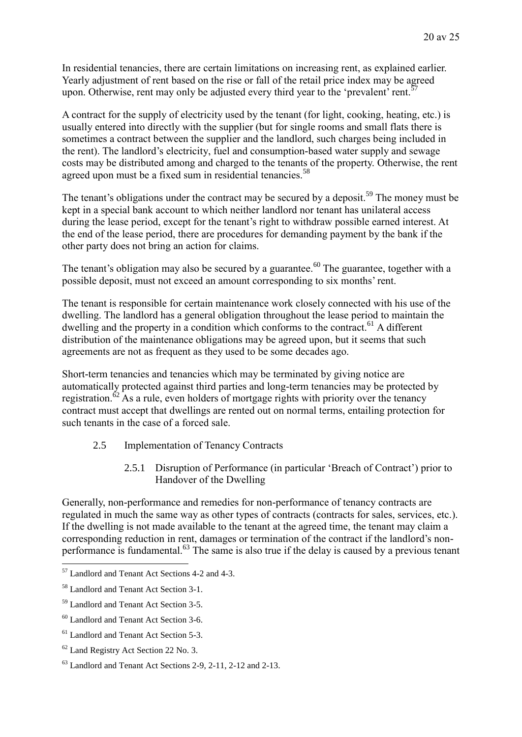In residential tenancies, there are certain limitations on increasing rent, as explained earlier. Yearly adjustment of rent based on the rise or fall of the retail price index may be agreed upon. Otherwise, rent may only be adjusted every third year to the 'prevalent' rent.<sup>57</sup>

A contract for the supply of electricity used by the tenant (for light, cooking, heating, etc.) is usually entered into directly with the supplier (but for single rooms and small flats there is sometimes a contract between the supplier and the landlord, such charges being included in the rent). The landlord's electricity, fuel and consumption-based water supply and sewage costs may be distributed among and charged to the tenants of the property. Otherwise, the rent agreed upon must be a fixed sum in residential tenancies.<sup>58</sup>

The tenant's obligations under the contract may be secured by a deposit.<sup>59</sup> The money must be kept in a special bank account to which neither landlord nor tenant has unilateral access during the lease period, except for the tenant's right to withdraw possible earned interest. At the end of the lease period, there are procedures for demanding payment by the bank if the other party does not bring an action for claims.

The tenant's obligation may also be secured by a guarantee.<sup>60</sup> The guarantee, together with a possible deposit, must not exceed an amount corresponding to six months' rent.

The tenant is responsible for certain maintenance work closely connected with his use of the dwelling. The landlord has a general obligation throughout the lease period to maintain the dwelling and the property in a condition which conforms to the contract.<sup>61</sup> A different distribution of the maintenance obligations may be agreed upon, but it seems that such agreements are not as frequent as they used to be some decades ago.

Short-term tenancies and tenancies which may be terminated by giving notice are automatically protected against third parties and long-term tenancies may be protected by registration.<sup> $62$ </sup> As a rule, even holders of mortgage rights with priority over the tenancy contract must accept that dwellings are rented out on normal terms, entailing protection for such tenants in the case of a forced sale.

- 2.5 Implementation of Tenancy Contracts
	- 2.5.1 Disruption of Performance (in particular 'Breach of Contract') prior to Handover of the Dwelling

Generally, non-performance and remedies for non-performance of tenancy contracts are regulated in much the same way as other types of contracts (contracts for sales, services, etc.). If the dwelling is not made available to the tenant at the agreed time, the tenant may claim a corresponding reduction in rent, damages or termination of the contract if the landlord's nonperformance is fundamental.<sup>63</sup> The same is also true if the delay is caused by a previous tenant

1

<sup>57</sup> Landlord and Tenant Act Sections 4-2 and 4-3.

<sup>58</sup> Landlord and Tenant Act Section 3-1.

<sup>59</sup> Landlord and Tenant Act Section 3-5.

<sup>60</sup> Landlord and Tenant Act Section 3-6.

<sup>&</sup>lt;sup>61</sup> Landlord and Tenant Act Section 5-3.

<sup>62</sup> Land Registry Act Section 22 No. 3.

 $63$  Landlord and Tenant Act Sections 2-9, 2-11, 2-12 and 2-13.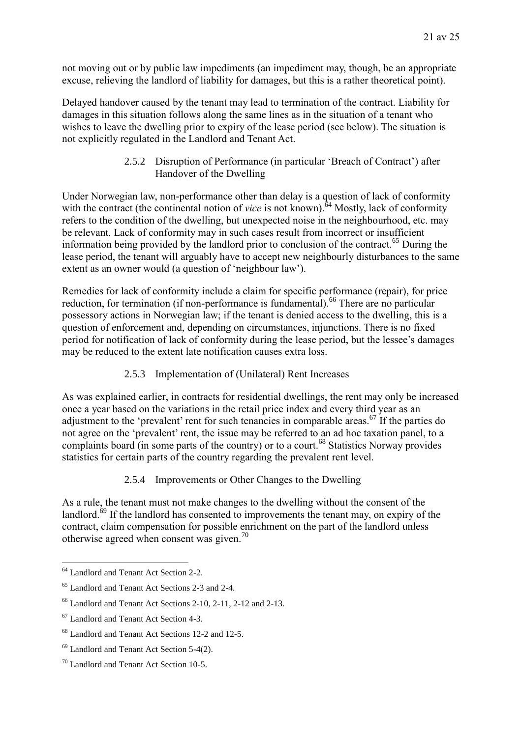not moving out or by public law impediments (an impediment may, though, be an appropriate excuse, relieving the landlord of liability for damages, but this is a rather theoretical point).

Delayed handover caused by the tenant may lead to termination of the contract. Liability for damages in this situation follows along the same lines as in the situation of a tenant who wishes to leave the dwelling prior to expiry of the lease period (see below). The situation is not explicitly regulated in the Landlord and Tenant Act.

> 2.5.2 Disruption of Performance (in particular 'Breach of Contract') after Handover of the Dwelling

Under Norwegian law, non-performance other than delay is a question of lack of conformity with the contract (the continental notion of *vice* is not known).<sup>64</sup> Mostly, lack of conformity refers to the condition of the dwelling, but unexpected noise in the neighbourhood, etc. may be relevant. Lack of conformity may in such cases result from incorrect or insufficient information being provided by the landlord prior to conclusion of the contract.<sup>65</sup> During the lease period, the tenant will arguably have to accept new neighbourly disturbances to the same extent as an owner would (a question of 'neighbour law').

Remedies for lack of conformity include a claim for specific performance (repair), for price reduction, for termination (if non-performance is fundamental).<sup>66</sup> There are no particular possessory actions in Norwegian law; if the tenant is denied access to the dwelling, this is a question of enforcement and, depending on circumstances, injunctions. There is no fixed period for notification of lack of conformity during the lease period, but the lessee's damages may be reduced to the extent late notification causes extra loss.

2.5.3 Implementation of (Unilateral) Rent Increases

As was explained earlier, in contracts for residential dwellings, the rent may only be increased once a year based on the variations in the retail price index and every third year as an adjustment to the 'prevalent' rent for such tenancies in comparable areas.<sup> $67$ </sup> If the parties do not agree on the 'prevalent' rent, the issue may be referred to an ad hoc taxation panel, to a complaints board (in some parts of the country) or to a court.<sup>68</sup> Statistics Norway provides statistics for certain parts of the country regarding the prevalent rent level.

2.5.4 Improvements or Other Changes to the Dwelling

As a rule, the tenant must not make changes to the dwelling without the consent of the landlord.<sup>69</sup> If the landlord has consented to improvements the tenant may, on expiry of the contract, claim compensation for possible enrichment on the part of the landlord unless otherwise agreed when consent was given.<sup>70</sup>

<sup>1</sup> <sup>64</sup> Landlord and Tenant Act Section 2-2.

<sup>65</sup> Landlord and Tenant Act Sections 2-3 and 2-4.

 $<sup>66</sup>$  Landlord and Tenant Act Sections 2-10, 2-11, 2-12 and 2-13.</sup>

<sup>67</sup> Landlord and Tenant Act Section 4-3.

<sup>68</sup> Landlord and Tenant Act Sections 12-2 and 12-5.

 $69$  Landlord and Tenant Act Section 5-4(2).

<sup>70</sup> Landlord and Tenant Act Section 10-5.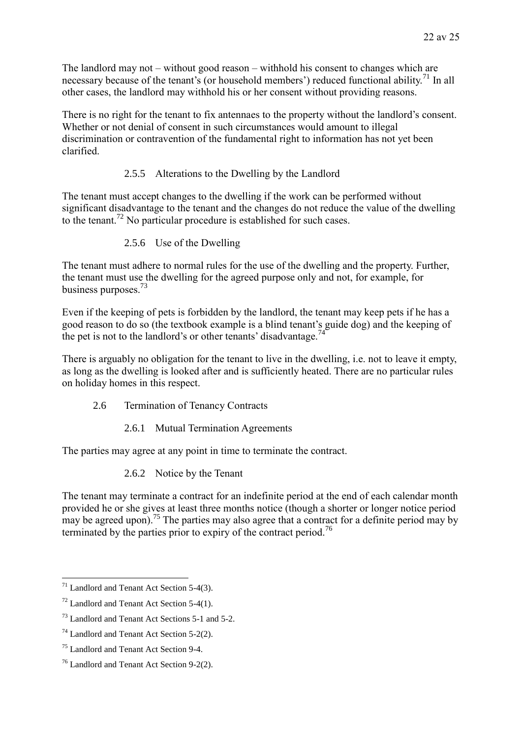The landlord may not – without good reason – withhold his consent to changes which are necessary because of the tenant's (or household members') reduced functional ability.<sup>71</sup> In all other cases, the landlord may withhold his or her consent without providing reasons.

There is no right for the tenant to fix antennaes to the property without the landlord's consent. Whether or not denial of consent in such circumstances would amount to illegal discrimination or contravention of the fundamental right to information has not yet been clarified.

### 2.5.5 Alterations to the Dwelling by the Landlord

The tenant must accept changes to the dwelling if the work can be performed without significant disadvantage to the tenant and the changes do not reduce the value of the dwelling to the tenant.<sup>72</sup> No particular procedure is established for such cases.

### 2.5.6 Use of the Dwelling

The tenant must adhere to normal rules for the use of the dwelling and the property. Further, the tenant must use the dwelling for the agreed purpose only and not, for example, for business purposes.<sup>73</sup>

Even if the keeping of pets is forbidden by the landlord, the tenant may keep pets if he has a good reason to do so (the textbook example is a blind tenant's guide dog) and the keeping of the pet is not to the landlord's or other tenants' disadvantage.<sup>74</sup>

There is arguably no obligation for the tenant to live in the dwelling, i.e. not to leave it empty, as long as the dwelling is looked after and is sufficiently heated. There are no particular rules on holiday homes in this respect.

- 2.6 Termination of Tenancy Contracts
	- 2.6.1 Mutual Termination Agreements

The parties may agree at any point in time to terminate the contract.

2.6.2 Notice by the Tenant

The tenant may terminate a contract for an indefinite period at the end of each calendar month provided he or she gives at least three months notice (though a shorter or longer notice period may be agreed upon).<sup>75</sup> The parties may also agree that a contract for a definite period may by terminated by the parties prior to expiry of the contract period.<sup>76</sup>

<u>.</u>

 $71$  Landlord and Tenant Act Section 5-4(3).

 $72$  Landlord and Tenant Act Section 5-4(1).

<sup>73</sup> Landlord and Tenant Act Sections 5-1 and 5-2.

<sup>74</sup> Landlord and Tenant Act Section 5-2(2).

<sup>75</sup> Landlord and Tenant Act Section 9-4.

 $76$  Landlord and Tenant Act Section 9-2(2).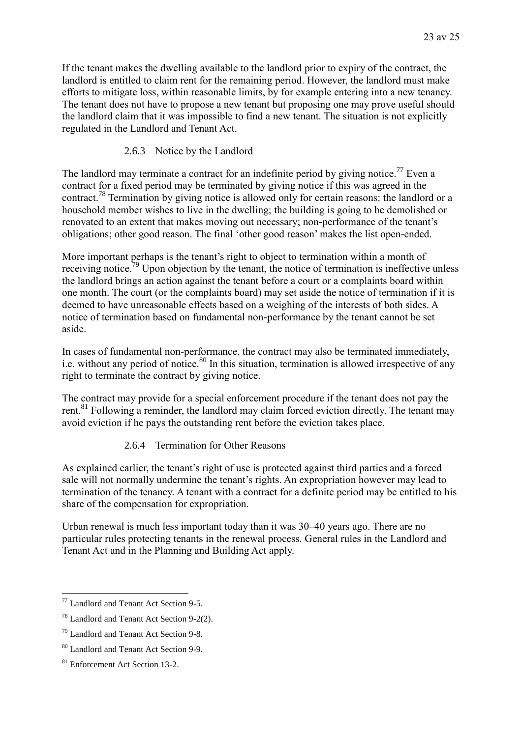If the tenant makes the dwelling available to the landlord prior to expiry of the contract, the landlord is entitled to claim rent for the remaining period. However, the landlord must make efforts to mitigate loss, within reasonable limits, by for example entering into a new tenancy. The tenant does not have to propose a new tenant but proposing one may prove useful should the landlord claim that it was impossible to find a new tenant. The situation is not explicitly regulated in the Landlord and Tenant Act.

### 2.6.3 Notice by the Landlord

The landlord may terminate a contract for an indefinite period by giving notice.<sup>77</sup> Even a contract for a fixed period may be terminated by giving notice if this was agreed in the contract.<sup>78</sup> Termination by giving notice is allowed only for certain reasons: the landlord or a household member wishes to live in the dwelling; the building is going to be demolished or renovated to an extent that makes moving out necessary; non-performance of the tenant's obligations; other good reason. The final 'other good reason' makes the list open-ended.

More important perhaps is the tenant's right to object to termination within a month of receiving notice.<sup>79</sup> Upon objection by the tenant, the notice of termination is ineffective unless the landlord brings an action against the tenant before a court or a complaints board within one month. The court (or the complaints board) may set aside the notice of termination if it is deemed to have unreasonable effects based on a weighing of the interests of both sides. A notice of termination based on fundamental non-performance by the tenant cannot be set aside.

In cases of fundamental non-performance, the contract may also be terminated immediately, i.e. without any period of notice. $80$  In this situation, termination is allowed irrespective of any right to terminate the contract by giving notice.

The contract may provide for a special enforcement procedure if the tenant does not pay the rent.<sup>81</sup> Following a reminder, the landlord may claim forced eviction directly. The tenant may avoid eviction if he pays the outstanding rent before the eviction takes place.

### 2.6.4 Termination for Other Reasons

As explained earlier, the tenant's right of use is protected against third parties and a forced sale will not normally undermine the tenant's rights. An expropriation however may lead to termination of the tenancy. A tenant with a contract for a definite period may be entitled to his share of the compensation for expropriation.

Urban renewal is much less important today than it was 30–40 years ago. There are no particular rules protecting tenants in the renewal process. General rules in the Landlord and Tenant Act and in the Planning and Building Act apply.

1

<sup>77</sup> Landlord and Tenant Act Section 9-5.

<sup>78</sup> Landlord and Tenant Act Section 9-2(2).

<sup>79</sup> Landlord and Tenant Act Section 9-8.

<sup>80</sup> Landlord and Tenant Act Section 9-9.

<sup>81</sup> Enforcement Act Section 13-2.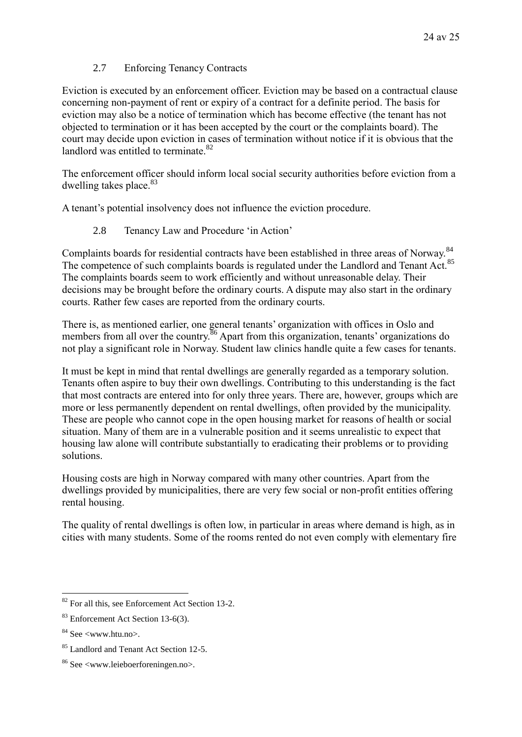### 2.7 Enforcing Tenancy Contracts

Eviction is executed by an enforcement officer. Eviction may be based on a contractual clause concerning non-payment of rent or expiry of a contract for a definite period. The basis for eviction may also be a notice of termination which has become effective (the tenant has not objected to termination or it has been accepted by the court or the complaints board). The court may decide upon eviction in cases of termination without notice if it is obvious that the landlord was entitled to terminate  $82$ 

The enforcement officer should inform local social security authorities before eviction from a dwelling takes place.<sup>83</sup>

A tenant's potential insolvency does not influence the eviction procedure.

2.8 Tenancy Law and Procedure 'in Action'

Complaints boards for residential contracts have been established in three areas of Norway.<sup>84</sup> The competence of such complaints boards is regulated under the Landlord and Tenant Act.<sup>85</sup> The complaints boards seem to work efficiently and without unreasonable delay. Their decisions may be brought before the ordinary courts. A dispute may also start in the ordinary courts. Rather few cases are reported from the ordinary courts.

There is, as mentioned earlier, one general tenants' organization with offices in Oslo and members from all over the country.<sup>86</sup> Apart from this organization, tenants' organizations do not play a significant role in Norway. Student law clinics handle quite a few cases for tenants.

It must be kept in mind that rental dwellings are generally regarded as a temporary solution. Tenants often aspire to buy their own dwellings. Contributing to this understanding is the fact that most contracts are entered into for only three years. There are, however, groups which are more or less permanently dependent on rental dwellings, often provided by the municipality. These are people who cannot cope in the open housing market for reasons of health or social situation. Many of them are in a vulnerable position and it seems unrealistic to expect that housing law alone will contribute substantially to eradicating their problems or to providing solutions.

Housing costs are high in Norway compared with many other countries. Apart from the dwellings provided by municipalities, there are very few social or non-profit entities offering rental housing.

The quality of rental dwellings is often low, in particular in areas where demand is high, as in cities with many students. Some of the rooms rented do not even comply with elementary fire

1

 $82$  For all this, see Enforcement Act Section 13-2.

<sup>83</sup> Enforcement Act Section 13-6(3).

 $84$  See  $\leq$ www.htu.no $>$ .

<sup>&</sup>lt;sup>85</sup> Landlord and Tenant Act Section 12-5.

<sup>86</sup> See <www.leieboerforeningen.no>.